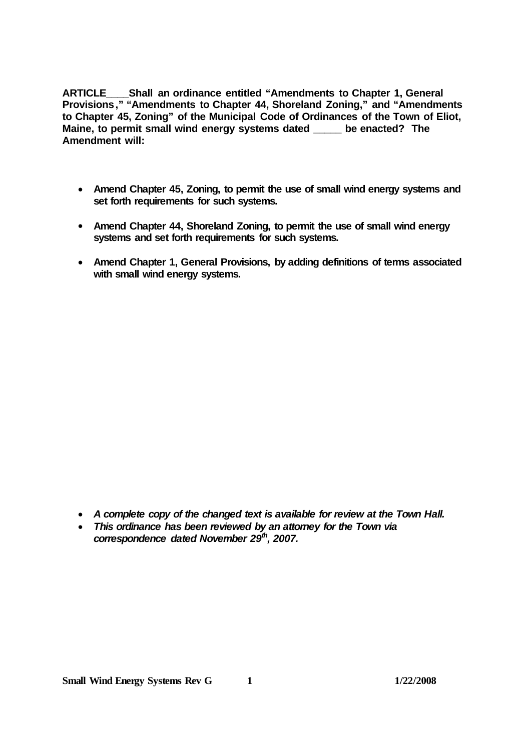**ARTICLE\_\_\_\_Shall an ordinance entitled "Amendments to Chapter 1, General Provisions," "Amendments to Chapter 44, Shoreland Zoning," and "Amendments to Chapter 45, Zoning" of the Municipal Code of Ordinances of the Town of Eliot, Maine, to permit small wind energy systems dated \_\_\_\_\_ be enacted? The Amendment will:**

- **Amend Chapter 45, Zoning, to permit the use of small wind energy systems and set forth requirements for such systems.**
- **Amend Chapter 44, Shoreland Zoning, to permit the use of small wind energy systems and set forth requirements for such systems.**
- **Amend Chapter 1, General Provisions, by adding definitions of terms associated with small wind energy systems.**

- *A complete copy of the changed text is available for review at the Town Hall.*
- *This ordinance has been reviewed by an attorney for the Town via correspondence dated November 29th , 2007.*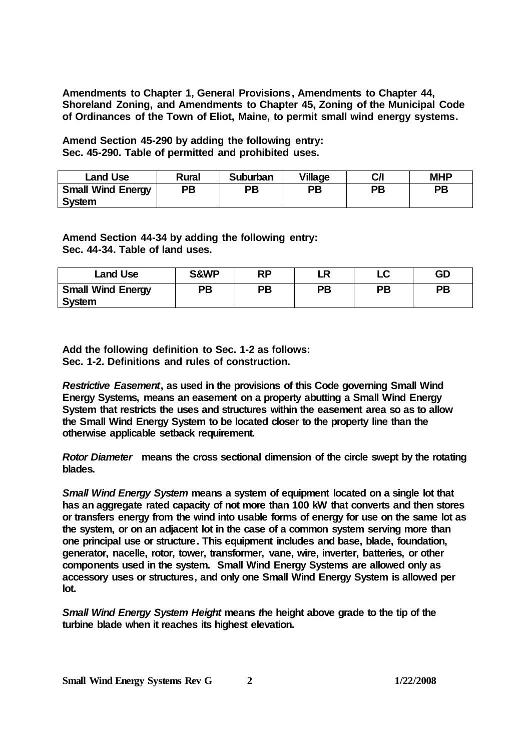**Amendments to Chapter 1, General Provisions, Amendments to Chapter 44, Shoreland Zoning, and Amendments to Chapter 45, Zoning of the Municipal Code of Ordinances of the Town of Eliot, Maine, to permit small wind energy systems.**

## **Amend Section 45-290 by adding the following entry: Sec. 45-290. Table of permitted and prohibited uses.**

| Land Use                           | Rural | Suburban | Village | C/I | <b>MHP</b> |
|------------------------------------|-------|----------|---------|-----|------------|
| <b>Small Wind Energy</b><br>System | PB    | РB       | ΡB      | PВ  | <b>PB</b>  |

## **Amend Section 44-34 by adding the following entry: Sec. 44-34. Table of land uses.**

| Land Use                           | S&WP | DD | D  | $\sim$<br>◡ | GD |
|------------------------------------|------|----|----|-------------|----|
| <b>Small Wind Energy</b><br>System | PВ   | PB | PВ | PB          | PB |

## **Add the following definition to Sec. 1-2 as follows: Sec. 1-2. Definitions and rules of construction.**

*Restrictive Easement***, as used in the provisions of this Code governing Small Wind Energy Systems, means an easement on a property abutting a Small Wind Energy System that restricts the uses and structures within the easement area so as to allow the Small Wind Energy System to be located closer to the property line than the otherwise applicable setback requirement.**

*Rotor Diameter* **means the cross sectional dimension of the circle swept by the rotating blades.**

*Small Wind Energy System* **means a system of equipment located on a single lot that has an aggregate rated capacity of not more than 100 kW that converts and then stores or transfers energy from the wind into usable forms of energy for use on the same lot as the system, or on an adjacent lot in the case of a common system serving more than one principal use or structure. This equipment includes and base, blade, foundation, generator, nacelle, rotor, tower, transformer, vane, wire, inverter, batteries, or other components used in the system. Small Wind Energy Systems are allowed only as accessory uses or structures, and only one Small Wind Energy System is allowed per lot.**

*Small Wind Energy System Height* **means** *t***he height above grade to the tip of the turbine blade when it reaches its highest elevation.**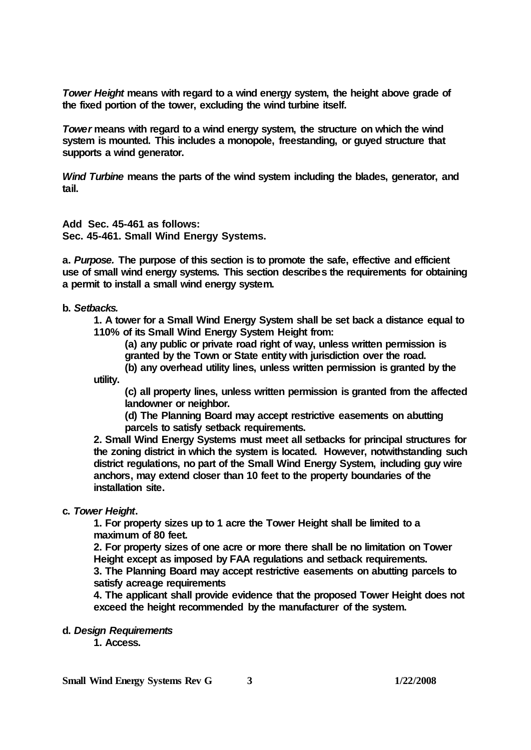*Tower Height* **means with regard to a wind energy system, the height above grade of the fixed portion of the tower, excluding the wind turbine itself.**

*Tower* **means with regard to a wind energy system, the structure on which the wind system is mounted. This includes a monopole, freestanding, or guyed structure that supports a wind generator.**

*Wind Turbine* **means the parts of the wind system including the blades, generator, and tail.**

## **Add Sec. 45-461 as follows: Sec. 45-461. Small Wind Energy Systems.**

**a.** *Purpose.* **The purpose of this section is to promote the safe, effective and efficient use of small wind energy systems. This section describes the requirements for obtaining a permit to install a small wind energy system.**

**b.** *Setbacks.*

**1. A tower for a Small Wind Energy System shall be set back a distance equal to 110% of its Small Wind Energy System Height from:**

**(a) any public or private road right of way, unless written permission is granted by the Town or State entity with jurisdiction over the road.**

**(b) any overhead utility lines, unless written permission is granted by the utility.**

**(c) all property lines, unless written permission is granted from the affected landowner or neighbor.**

**(d) The Planning Board may accept restrictive easements on abutting parcels to satisfy setback requirements.**

**2. Small Wind Energy Systems must meet all setbacks for principal structures for the zoning district in which the system is located. However, notwithstanding such district regulations, no part of the Small Wind Energy System, including guy wire anchors, may extend closer than 10 feet to the property boundaries of the installation site.**

**c.** *Tower Height***.** 

**1. For property sizes up to 1 acre the Tower Height shall be limited to a maximum of 80 feet.**

**2. For property sizes of one acre or more there shall be no limitation on Tower Height except as imposed by FAA regulations and setback requirements. 3. The Planning Board may accept restrictive easements on abutting parcels to satisfy acreage requirements** 

**4. The applicant shall provide evidence that the proposed Tower Height does not exceed the height recommended by the manufacturer of the system.**

**d.** *Design Requirements*

**1. Access.**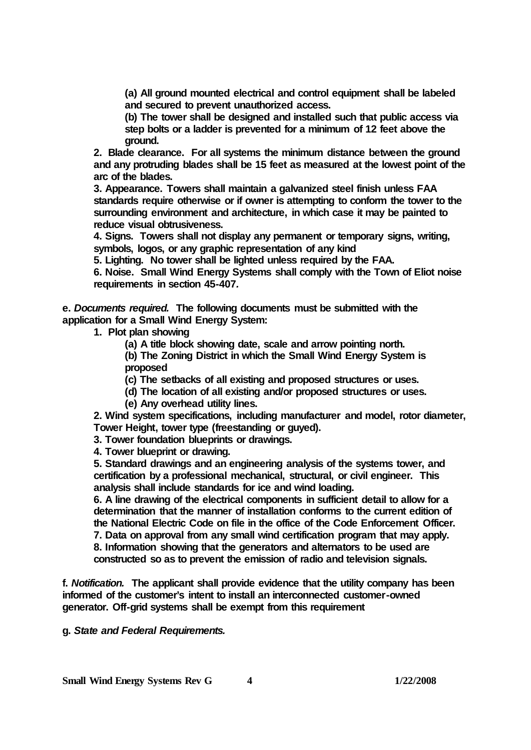**(a) All ground mounted electrical and control equipment shall be labeled and secured to prevent unauthorized access.**

**(b) The tower shall be designed and installed such that public access via step bolts or a ladder is prevented for a minimum of 12 feet above the ground.** 

**2. Blade clearance. For all systems the minimum distance between the ground and any protruding blades shall be 15 feet as measured at the lowest point of the arc of the blades.**

**3. Appearance. Towers shall maintain a galvanized steel finish unless FAA standards require otherwise or if owner is attempting to conform the tower to the surrounding environment and architecture, in which case it may be painted to reduce visual obtrusiveness.** 

**4. Signs. Towers shall not display any permanent or temporary signs, writing, symbols, logos, or any graphic representation of any kind** 

**5. Lighting. No tower shall be lighted unless required by the FAA.**

**6. Noise. Small Wind Energy Systems shall comply with the Town of Eliot noise requirements in section 45-407***.*

**e.** *Documents required.* **The following documents must be submitted with the application for a Small Wind Energy System:**

**1. Plot plan showing** 

**(a) A title block showing date, scale and arrow pointing north.**

**(b) The Zoning District in which the Small Wind Energy System is proposed**

**(c) The setbacks of all existing and proposed structures or uses.** 

**(d) The location of all existing and/or proposed structures or uses.** 

**(e) Any overhead utility lines.**

**2. Wind system specifications, including manufacturer and model, rotor diameter, Tower Height, tower type (freestanding or guyed).**

**3. Tower foundation blueprints or drawings.**

**4. Tower blueprint or drawing.**

**5. Standard drawings and an engineering analysis of the systems tower, and certification by a professional mechanical, structural, or civil engineer. This analysis shall include standards for ice and wind loading.** 

**6. A line drawing of the electrical components in sufficient detail to allow for a determination that the manner of installation conforms to the current edition of the National Electric Code on file in the office of the Code Enforcement Officer. 7. Data on approval from any small wind certification program that may apply. 8. Information showing that the generators and alternators to be used are constructed so as to prevent the emission of radio and television signals.**

**f.** *Notification.* **The applicant shall provide evidence that the utility company has been informed of the customer's intent to install an interconnected customer-owned generator. Off-grid systems shall be exempt from this requirement**

**g.** *State and Federal Requirements.*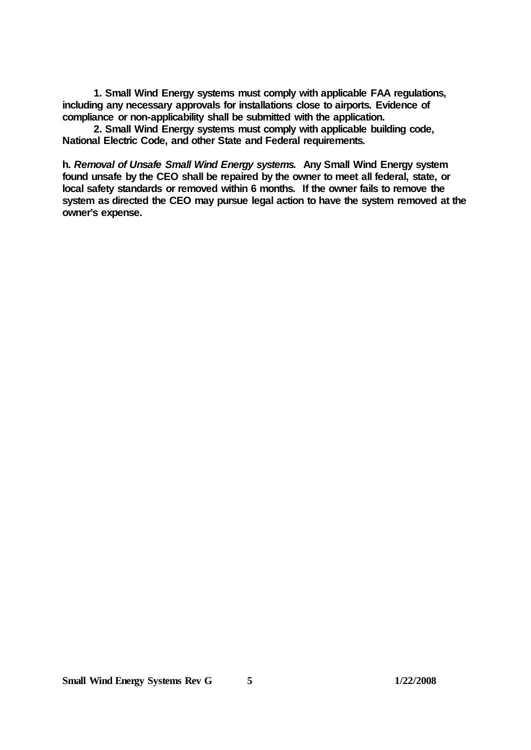**1. Small Wind Energy systems must comply with applicable FAA regulations, including any necessary approvals for installations close to airports. Evidence of compliance or non-applicability shall be submitted with the application.** 

**2. Small Wind Energy systems must comply with applicable building code, National Electric Code, and other State and Federal requirements.**

**h.** *Removal of Unsafe Small Wind Energy systems.* **Any Small Wind Energy system found unsafe by the CEO shall be repaired by the owner to meet all federal, state, or local safety standards or removed within 6 months. If the owner fails to remove the system as directed the CEO may pursue legal action to have the system removed at the owner's expense.**